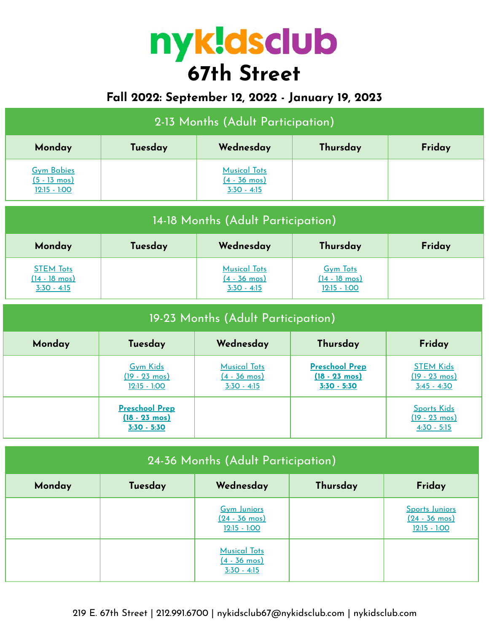# **67th Street**

# **Fall 2022: September 12, 2022 - January 19, 2023**

| 2-13 Months (Adult Participation)                             |         |                                                                |          |        |  |  |
|---------------------------------------------------------------|---------|----------------------------------------------------------------|----------|--------|--|--|
| Monday                                                        | Tuesday | Wednesday                                                      | Thursday | Friday |  |  |
| <b>Gym Babies</b><br>$(5 - 13 \text{ mos})$<br>$12:15 - 1:00$ |         | <b>Musical Tots</b><br>$(4 - 36 \text{ mos})$<br>$3:30 - 4:15$ |          |        |  |  |

| 14-18 Months (Adult Participation)                        |         |                                                                |                                                              |        |  |  |
|-----------------------------------------------------------|---------|----------------------------------------------------------------|--------------------------------------------------------------|--------|--|--|
| Monday                                                    | Tuesday | Wednesday                                                      | Thursday                                                     | Friday |  |  |
| <b>STEM Tots</b><br><u>(14 - 18 mos)</u><br>$3:30 - 4:15$ |         | <b>Musical Tots</b><br>$(4 - 36 \text{ mos})$<br>$3:30 - 4:15$ | <b>Gym Tots</b><br>$(14 - 18 \text{ mos})$<br>$12:15 - 1:00$ |        |  |  |

| 19-23 Months (Adult Participation) |                                                                   |                                                                |                                                                   |                                                                |  |  |  |
|------------------------------------|-------------------------------------------------------------------|----------------------------------------------------------------|-------------------------------------------------------------------|----------------------------------------------------------------|--|--|--|
| Monday                             | Friday<br>Wednesday<br>Thursday<br>Tuesday                        |                                                                |                                                                   |                                                                |  |  |  |
|                                    | <b>Gym Kids</b><br>$(19 - 23 \text{ mos})$<br>$12:15 - 1:00$      | <b>Musical Tots</b><br>$(4 - 36 \text{ mos})$<br>$3:30 - 4:15$ | <b>Preschool Prep</b><br>$(18 - 23 \text{ mos})$<br>$3:30 - 5:30$ | <b>STEM Kids</b><br>$(19 - 23 \text{ mos})$<br>$3:45 - 4:30$   |  |  |  |
|                                    | <b>Preschool Prep</b><br>$(18 - 23 \text{ mos})$<br>$3:30 - 5:30$ |                                                                |                                                                   | <b>Sports Kids</b><br>$(19 - 23 \text{ mos})$<br>$4:30 - 5:15$ |  |  |  |

| 24-36 Months (Adult Participation)                   |  |                                                                 |  |                                                             |  |  |
|------------------------------------------------------|--|-----------------------------------------------------------------|--|-------------------------------------------------------------|--|--|
| Thursday<br>Friday<br>Wednesday<br>Monday<br>Tuesday |  |                                                                 |  |                                                             |  |  |
|                                                      |  | <b>Gym Juniors</b><br>$(24 - 36 \text{ mos})$<br>$12:15 - 1:00$ |  | Sports Juniors<br>$(24 - 36 \text{ mos})$<br>$12:15 - 1:00$ |  |  |
|                                                      |  | <b>Musical Tots</b><br>$(4 - 36 \text{ mos})$<br>$3:30 - 4:15$  |  |                                                             |  |  |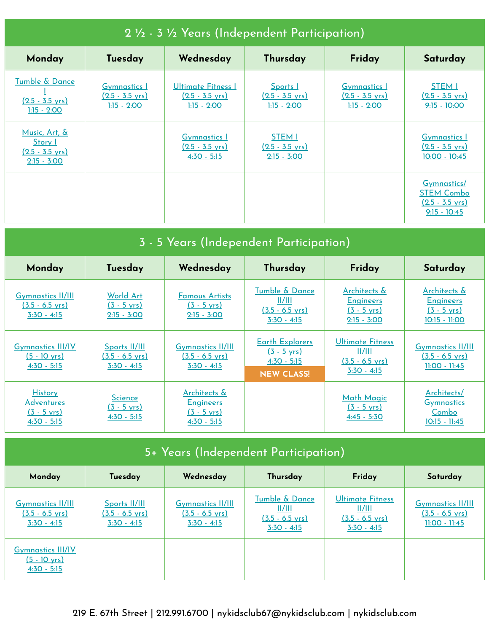| 2 1/2 - 3 1/2 Years (Independent Participation)                        |                                                                   |                                                                  |                                                             |                                                                   |                                                                                 |  |  |
|------------------------------------------------------------------------|-------------------------------------------------------------------|------------------------------------------------------------------|-------------------------------------------------------------|-------------------------------------------------------------------|---------------------------------------------------------------------------------|--|--|
| Monday                                                                 | Tuesday                                                           | Wednesday                                                        | Thursday                                                    | Friday                                                            | Saturday                                                                        |  |  |
| Tumble & Dance<br>$(2.5 - 3.5 \text{ yrs})$<br>$1:15 - 2:00$           | <b>Gymnastics</b> 1<br>$(2.5 - 3.5 \text{ yrs})$<br>$1:15 - 2:00$ | Ultimate Fitness I<br>$(2.5 - 3.5 \text{ yrs})$<br>$1:15 - 2:00$ | Sports  <br>$(2.5 - 3.5 \text{ yrs})$<br>$1:15 - 2:00$      | <b>Gymnastics</b> 1<br>$(2.5 - 3.5 \text{ yrs})$<br>$1:15 - 2:00$ | <b>STEM I</b><br>$(2.5 - 3.5 \text{ yrs})$<br>$9:15 - 10:00$                    |  |  |
| Music, Art, &<br>Story I<br>$(2.5 - 3.5 \text{ yrs})$<br>$2:15 - 3:00$ |                                                                   | <b>Gymnastics</b> 1<br><u>(2.5 - 3.5 yrs)</u><br>$4:30 - 5:15$   | <b>STEM I</b><br>$(2.5 - 3.5 \text{ yrs})$<br>$2:15 - 3:00$ |                                                                   | <b>Gymnastics 1</b><br>$(2.5 - 3.5 \text{ yrs})$<br>$10:00 - 10:45$             |  |  |
|                                                                        |                                                                   |                                                                  |                                                             |                                                                   | Gymnastics/<br><b>STEM Combo</b><br>$(2.5 - 3.5 \text{ vrs})$<br>$9:15 - 10:45$ |  |  |

| 3 - 5 Years (Independent Participation)                                       |                                                             |                                                                                       |                                                                                       |                                                                                 |                                                                            |  |
|-------------------------------------------------------------------------------|-------------------------------------------------------------|---------------------------------------------------------------------------------------|---------------------------------------------------------------------------------------|---------------------------------------------------------------------------------|----------------------------------------------------------------------------|--|
| Monday                                                                        | Tuesday                                                     | Wednesday                                                                             | Thursday                                                                              | Friday                                                                          | Saturday                                                                   |  |
| <b>Gymnastics II/III</b><br>$(3.5 - 6.5 \text{ yrs})$<br>$3:30 - 4:15$        | World Art<br>$(3 - 5 \text{ yrs})$<br>$2:15 - 3:00$         | <b>Famous Artists</b><br>$(3 - 5 \text{ yrs})$<br>$2:15 - 3:00$                       | Tumble & Dance<br>II/III<br>$(3.5 - 6.5 \text{ yrs})$<br>$3:30 - 4:15$                | Architects &<br><b>Engineers</b><br>$(3 - 5 \text{ yrs})$<br>$2:15 - 3:00$      | Architects &<br><b>Engineers</b><br>$(3 - 5 \text{ yrs})$<br>10:15 - 11:00 |  |
| <b>Gymnastics III/IV</b><br>$(5 - 10 \text{ yrs})$<br>$4:30 - 5:15$           | Sports II/III<br>$(3.5 - 6.5 \text{ yrs})$<br>$3:30 - 4:15$ | <b>Gymnastics II/III</b><br>$(3.5 - 6.5 \text{ yrs})$<br>$3:30 - 4:15$                | <b>Earth Explorers</b><br>$(3 - 5 \text{ yrs})$<br>$4:30 - 5:15$<br><b>NEW CLASS!</b> | <b>Ultimate Fitness</b><br>II/III<br>$(3.5 - 6.5 \text{ yrs})$<br>$3:30 - 4:15$ | <b>Gymnastics II/III</b><br>$(3.5 - 6.5 \text{ yrs})$<br>$11:00 - 11:45$   |  |
| <b>History</b><br><u>Adventures</u><br>$(3 - 5 \text{ vrs})$<br>$4:30 - 5:15$ | <b>Science</b><br>$(3 - 5 \text{ yrs})$<br>$4:30 - 5:15$    | <u>Architects &amp;</u><br><b>Engineers</b><br>$(3 - 5 \text{ yrs})$<br>$4:30 - 5:15$ |                                                                                       | <b>Math Magic</b><br>$(3 - 5 \text{ yrs})$<br>$4:45 - 5:30$                     | Architects/<br><b>Gymnastics</b><br><u>Combo</u><br>$10:15 - 11:45$        |  |

| 5+ Years (Independent Participation)                                   |                                                             |                                                                        |                                                                                   |                                                                                 |                                                                          |  |
|------------------------------------------------------------------------|-------------------------------------------------------------|------------------------------------------------------------------------|-----------------------------------------------------------------------------------|---------------------------------------------------------------------------------|--------------------------------------------------------------------------|--|
| Monday                                                                 | Tuesday                                                     | Wednesday                                                              | Thursday                                                                          | Friday                                                                          | Saturday                                                                 |  |
| <b>Gymnastics II/III</b><br>$(3.5 - 6.5 \text{ yrs})$<br>$3:30 - 4:15$ | Sports II/III<br>$(3.5 - 6.5 \text{ yrs})$<br>$3:30 - 4:15$ | <b>Gymnastics II/III</b><br>$(3.5 - 6.5 \text{ yrs})$<br>$3:30 - 4:15$ | <b>Tumble &amp; Dance</b><br>II/III<br>$(3.5 - 6.5 \text{ yrs})$<br>$3:30 - 4:15$ | <b>Ultimate Fitness</b><br>  /   <br>$(3.5 - 6.5 \text{ yrs})$<br>$3:30 - 4:15$ | <b>Gymnastics II/III</b><br>$(3.5 - 6.5 \text{ yrs})$<br>$11:00 - 11:45$ |  |
| <b>Gymnastics III/IV</b><br>$(5 - 10 \text{ yrs})$<br>$4:30 - 5:15$    |                                                             |                                                                        |                                                                                   |                                                                                 |                                                                          |  |